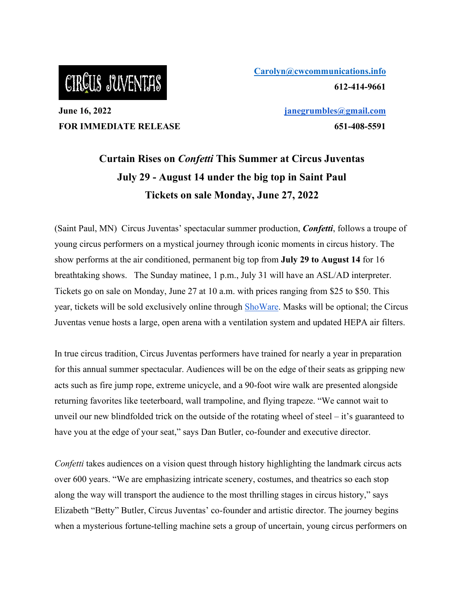## CIRCUS JUVENTAS

**June 16, 2022 FOR IMMEDIATE RELEASE** **[Carolyn@cwcommunications.info](mailto:Carolyn@cwcommunications.info) 612-414-9661** 

> **[janegrumbles@gmail.com](mailto:janegrumbles@gmail.com) 651-408-5591**

### **Curtain Rises on** *Confetti* **This Summer at Circus Juventas July 29 - August 14 under the big top in Saint Paul Tickets on sale Monday, June 27, 2022**

(Saint Paul, MN) Circus Juventas' spectacular summer production, *Confetti*, follows a troupe of young circus performers on a mystical journey through iconic moments in circus history. The show performs at the air conditioned, permanent big top from **July 29 to August 14** for 16 breathtaking shows. The Sunday matinee, 1 p.m., July 31 will have an ASL/AD interpreter. Tickets go on sale on Monday, June 27 at 10 a.m. with prices ranging from \$25 to \$50. This year, tickets will be sold exclusively online through [ShoWare.](https://circusjuventas.showare.com/) Masks will be optional; the Circus Juventas venue hosts a large, open arena with a ventilation system and updated HEPA air filters.

In true circus tradition, Circus Juventas performers have trained for nearly a year in preparation for this annual summer spectacular. Audiences will be on the edge of their seats as gripping new acts such as fire jump rope, extreme unicycle, and a 90-foot wire walk are presented alongside returning favorites like teeterboard, wall trampoline, and flying trapeze. "We cannot wait to unveil our new blindfolded trick on the outside of the rotating wheel of steel – it's guaranteed to have you at the edge of your seat," says Dan Butler, co-founder and executive director.

*Confetti* takes audiences on a vision quest through history highlighting the landmark circus acts over 600 years. "We are emphasizing intricate scenery, costumes, and theatrics so each stop along the way will transport the audience to the most thrilling stages in circus history," says Elizabeth "Betty" Butler, Circus Juventas' co-founder and artistic director. The journey begins when a mysterious fortune-telling machine sets a group of uncertain, young circus performers on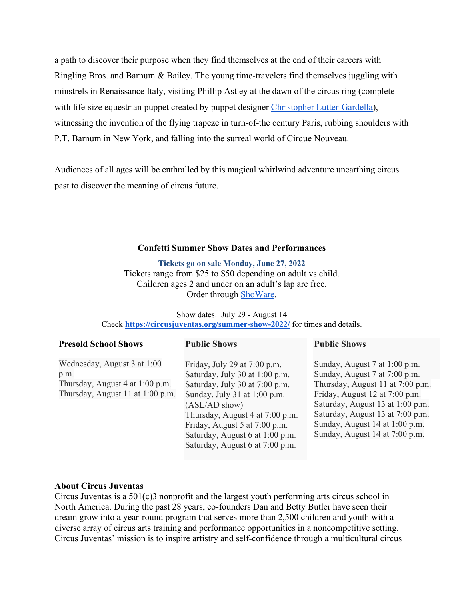a path to discover their purpose when they find themselves at the end of their careers with Ringling Bros. and Barnum & Bailey. The young time-travelers find themselves juggling with minstrels in Renaissance Italy, visiting Phillip Astley at the dawn of the circus ring (complete with life-size equestrian puppet created by puppet designer [Christopher Lutter-Gardella\)](https://christopherlutter.com/), witnessing the invention of the flying trapeze in turn-of-the century Paris, rubbing shoulders with P.T. Barnum in New York, and falling into the surreal world of Cirque Nouveau.

Audiences of all ages will be enthralled by this magical whirlwind adventure unearthing circus past to discover the meaning of circus future.

#### **Confetti Summer Show Dates and Performances**

**Tickets go on sale Monday, June 27, 2022**  Tickets range from \$25 to \$50 depending on adult vs child. Children ages 2 and under on an adult's lap are free. Order through [ShoWare.](https://circusjuventas.showare.com/)

Show dates: July 29 - August 14 Check **<https://circusjuventas.org/summer-show-2022/>** for times and details.

| <b>Presold School Shows</b>                                                                                | <b>Public Shows</b>                                                                                                                                                                                                                                                                              | <b>Public Shows</b>                                                                                                                                                                                                                                                              |
|------------------------------------------------------------------------------------------------------------|--------------------------------------------------------------------------------------------------------------------------------------------------------------------------------------------------------------------------------------------------------------------------------------------------|----------------------------------------------------------------------------------------------------------------------------------------------------------------------------------------------------------------------------------------------------------------------------------|
| Wednesday, August 3 at 1:00<br>p.m.<br>Thursday, August 4 at 1:00 p.m.<br>Thursday, August 11 at 1:00 p.m. | Friday, July 29 at 7:00 p.m.<br>Saturday, July 30 at 1:00 p.m.<br>Saturday, July 30 at 7:00 p.m.<br>Sunday, July 31 at 1:00 p.m.<br>$(ASL/AD \, show)$<br>Thursday, August 4 at 7:00 p.m.<br>Friday, August 5 at 7:00 p.m.<br>Saturday, August 6 at 1:00 p.m.<br>Saturday, August 6 at 7:00 p.m. | Sunday, August 7 at 1:00 p.m.<br>Sunday, August 7 at 7:00 p.m.<br>Thursday, August 11 at 7:00 p.m.<br>Friday, August 12 at 7:00 p.m.<br>Saturday, August 13 at 1:00 p.m.<br>Saturday, August 13 at 7:00 p.m.<br>Sunday, August 14 at 1:00 p.m.<br>Sunday, August 14 at 7:00 p.m. |
|                                                                                                            |                                                                                                                                                                                                                                                                                                  |                                                                                                                                                                                                                                                                                  |

#### **About Circus Juventas**

Circus Juventas is a 501(c)3 nonprofit and the largest youth performing arts circus school in North America. During the past 28 years, co-founders Dan and Betty Butler have seen their dream grow into a year-round program that serves more than 2,500 children and youth with a diverse array of circus arts training and performance opportunities in a noncompetitive setting. Circus Juventas' mission is to inspire artistry and self-confidence through a multicultural circus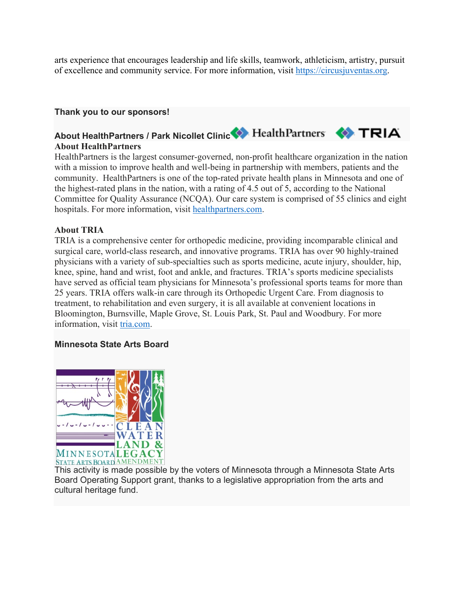arts experience that encourages leadership and life skills, teamwork, athleticism, artistry, pursuit of excellence and community service. For more information, visit [https://circusjuventas.org.](https://circusjuventas.org/)

#### **Thank you to our sponsors!**

#### About HealthPartners / Park Nicollet Clinic<sup>2</sup> HealthPartners **CATRIA About HealthPartners**

HealthPartners is the largest consumer-governed, non-profit healthcare organization in the nation with a mission to improve health and well-being in partnership with members, patients and the community. HealthPartners is one of the top-rated private health plans in Minnesota and one of the highest-rated plans in the nation, with a rating of 4.5 out of 5, according to the National Committee for Quality Assurance (NCQA). Our care system is comprised of 55 clinics and eight hospitals. For more information, visit [healthpartners.com.](https://urldefense.proofpoint.com/v2/url?u=http-3A__www.healthpartners.com&d=DwMFAg&c=euGZstcaTDllvimEN8b7jXrwqOf-v5A_CdpgnVfiiMM&r=NnDO4Kpdvz4YznDvpMGFv3PZYpH_VCpIem46B4EnSEQ&m=06XPxwLQBw9UJ0HTqzV6RtcmBUTiDfx51ju5BiE7ffc&s=feBya0MkxDK_ez1GlX9SZweloRURLXPLG_iiyNz-uN4&e=)

#### **About TRIA**

TRIA is a comprehensive center for orthopedic medicine, providing incomparable clinical and surgical care, world-class research, and innovative programs. TRIA has over 90 highly-trained physicians with a variety of sub-specialties such as sports medicine, acute injury, shoulder, hip, knee, spine, hand and wrist, foot and ankle, and fractures. TRIA's sports medicine specialists have served as official team physicians for Minnesota's professional sports teams for more than 25 years. TRIA offers walk-in care through its Orthopedic Urgent Care. From diagnosis to treatment, to rehabilitation and even surgery, it is all available at convenient locations in Bloomington, Burnsville, Maple Grove, St. Louis Park, St. Paul and Woodbury. For more information, visit [tria.com.](https://urldefense.proofpoint.com/v2/url?u=http-3A__www.tria.com&d=DwMFAg&c=euGZstcaTDllvimEN8b7jXrwqOf-v5A_CdpgnVfiiMM&r=NnDO4Kpdvz4YznDvpMGFv3PZYpH_VCpIem46B4EnSEQ&m=06XPxwLQBw9UJ0HTqzV6RtcmBUTiDfx51ju5BiE7ffc&s=Dj09trCtK4KFltxVn8e5R8Epem5R9Ls_NKT8J8XnPsQ&e=)

#### **Minnesota State Arts Board**



This activity is made possible by the voters of Minnesota through a Minnesota State Arts Board Operating Support grant, thanks to a legislative appropriation from the arts and cultural heritage fund.